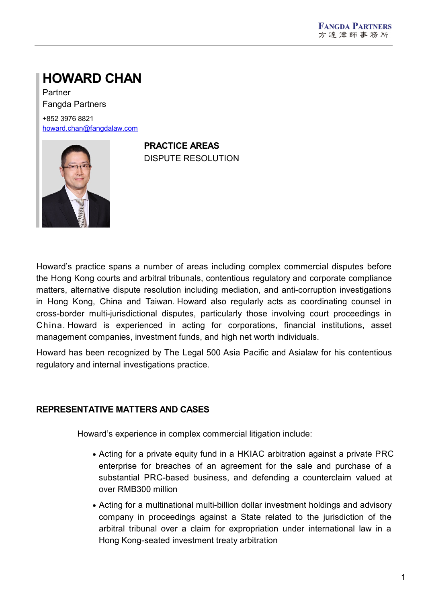# **HOWARD CHAN**

Partner Fangda Partners

+852 3976 8821 [howard.chan@fangdalaw.com](mailto:howard.chan@fangdalaw.com)



**PRACTICE AREAS** DISPUTE RESOLUTION

Howard's practice spans a number of areas including complex commercial disputes before the Hong Kong courts and arbitral tribunals, contentious regulatory and corporate compliance matters, alternative dispute resolution including mediation, and anti-corruption investigations in Hong Kong, China and Taiwan. Howard also regularly acts as coordinating counsel in cross-border multi-jurisdictional disputes, particularly those involving court proceedings in China. Howard is experienced in acting for corporations, financial institutions, asset management companies, investment funds, and high net worth individuals.

Howard has been recognized by The Legal 500 Asia Pacific and Asialaw for his contentious regulatory and internal investigations practice.

## **REPRESENTATIVE MATTERS AND CASES**

Howard's experience in complex commercial litigation include:

- Acting for a private equity fund in a HKIAC arbitration against a private PRC enterprise for breaches of an agreement for the sale and purchase of a substantial PRC-based business, and defending a counterclaim valued at over RMB300 million
- Acting for a multinational multi-billion dollar investment holdings and advisory company in proceedings against a State related to the jurisdiction of the arbitral tribunal over a claim for expropriation under international law in a Hong Kong-seated investment treaty arbitration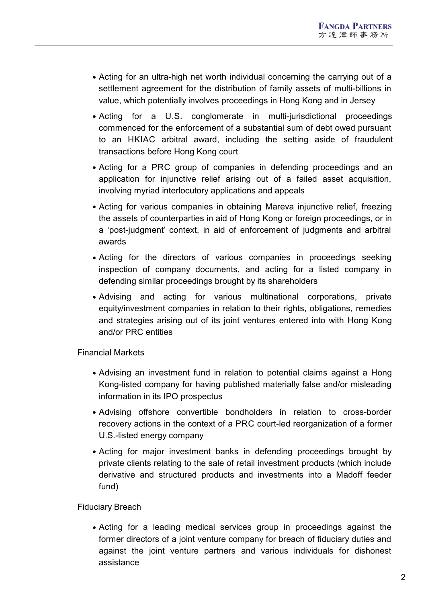- Acting for an ultra-high net worth individual concerning the carrying out of a settlement agreement for the distribution of family assets of multi-billions in value, which potentially involves proceedings in Hong Kong and in Jersey
- Acting for a U.S. conglomerate in multi-jurisdictional proceedings commenced for the enforcement of a substantial sum of debt owed pursuant to an HKIAC arbitral award, including the setting aside of fraudulent transactions before Hong Kong court
- Acting for a PRC group of companies in defending proceedings and an application for injunctive relief arising out of a failed asset acquisition, involving myriad interlocutory applications and appeals
- Acting for various companies in obtaining Mareva injunctive relief, freezing the assets of counterparties in aid of Hong Kong or foreign proceedings, or in a 'post-judgment' context, in aid of enforcement of judgments and arbitral awards
- Acting for the directors of various companies in proceedings seeking inspection of company documents, and acting for a listed company in defending similar proceedings brought by its shareholders
- Advising and acting for various multinational corporations, private equity/investment companies in relation to their rights, obligations, remedies and strategies arising out of its joint ventures entered into with Hong Kong and/or PRC entities

Financial Markets

- Advising an investment fund in relation to potential claims against a Hong Kong-listed company for having published materially false and/or misleading information in its IPO prospectus
- Advising offshore convertible bondholders in relation to cross-border recovery actions in the context of a PRC court-led reorganization of a former U.S.-listed energy company
- Acting for major investment banks in defending proceedings brought by private clients relating to the sale of retail investment products (which include derivative and structured products and investments into a Madoff feeder fund)

## Fiduciary Breach

Acting for a leading medical services group in proceedings against the former directors of a joint venture company for breach of fiduciary duties and against the joint venture partners and various individuals for dishonest assistance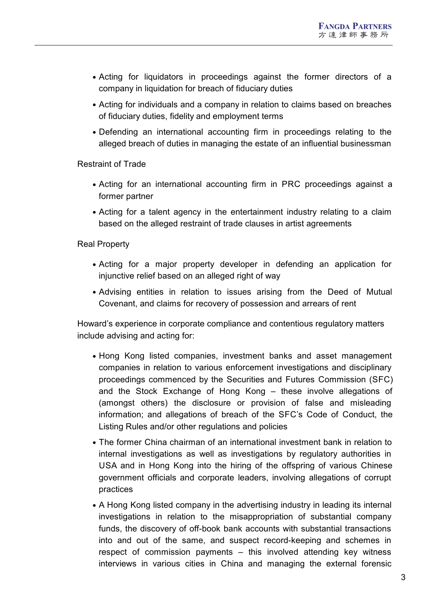- Acting for liquidators in proceedings against the former directors of a company in liquidation for breach of fiduciary duties
- Acting for individuals and a company in relation to claims based on breaches of fiduciary duties, fidelity and employment terms
- Defending an international accounting firm in proceedings relating to the alleged breach of duties in managing the estate of an influential businessman

Restraint of Trade

- Acting for an international accounting firm in PRC proceedings against a former partner
- Acting for a talent agency in the entertainment industry relating to a claim based on the alleged restraint of trade clauses in artist agreements

Real Property

- Acting for a major property developer in defending an application for injunctive relief based on an alleged right of way
- Advising entities in relation to issues arising from the Deed of Mutual Covenant, and claims for recovery of possession and arrears of rent

Howard's experience in corporate compliance and contentious regulatory matters include advising and acting for:

- Hong Kong listed companies, investment banks and asset management companies in relation to various enforcement investigations and disciplinary proceedings commenced by the Securities and Futures Commission (SFC) and the Stock Exchange of Hong Kong – these involve allegations of (amongst others) the disclosure or provision of false and misleading information; and allegations of breach of the SFC's Code of Conduct, the Listing Rules and/or other regulations and policies
- The former China chairman of an international investment bank in relation to internal investigations as well as investigations by regulatory authorities in USA and in Hong Kong into the hiring of the offspring of various Chinese government officials and corporate leaders, involving allegations of corrupt practices
- A Hong Kong listed company in the advertising industry in leading its internal investigations in relation to the misappropriation of substantial company funds, the discovery of off-book bank accounts with substantial transactions into and out of the same, and suspect record-keeping and schemes in respect of commission payments – this involved attending key witness interviews in various cities in China and managing the external forensic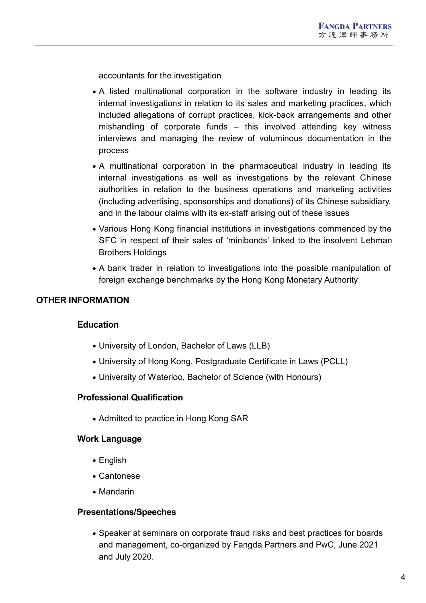accountants for the investigation

- A listed multinational corporation in the software industry in leading its internal investigations in relation to its sales and marketing practices, which included allegations of corrupt practices, kick-back arrangements and other mishandling of corporate funds – this involved attending key witness interviews and managing the review of voluminous documentation in the process
- A multinational corporation in the pharmaceutical industry in leading its internal investigations as well as investigations by the relevant Chinese authorities in relation to the business operations and marketing activities (including advertising, sponsorships and donations) of its Chinese subsidiary, and in the labour claims with its ex-staff arising out of these issues
- Various Hong Kong financial institutions in investigations commenced by the SFC in respect of their sales of'minibonds' linked to the insolvent Lehman Brothers Holdings
- A bank trader in relation to investigations into the possible manipulation of foreign exchange benchmarks by the Hong Kong Monetary Authority

## **OTHER INFORMATION**

### **Education**

- University of London, Bachelor of Laws (LLB)
- University of Hong Kong, Postgraduate Certificate in Laws (PCLL)
- University of Waterloo, Bachelor of Science (with Honours)

#### **Professional Qualification**

• Admitted to practice in Hong Kong SAR

### **Work Language**

- English
- Cantonese
- Mandarin

#### **Presentations/Speeches**

Speaker at seminars on corporate fraud risks and best practices for boards and management, co-organized by Fangda Partners and PwC, June 2021 and July 2020.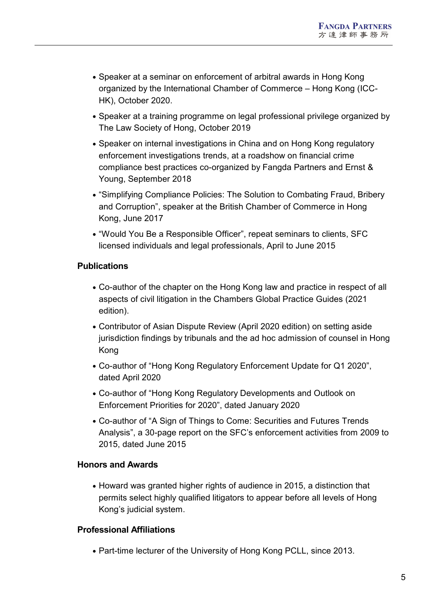- Speaker at a seminar on enforcement of arbitral awards in Hong Kong organized by the International Chamber of Commerce – Hong Kong (ICC- HK), October 2020.
- Speaker at a training programme on legal professional privilege organized by The Law Society of Hong, October 2019
- Speaker on internal investigations in China and on Hong Kong regulatory enforcement investigations trends, at a roadshow on financial crime compliance best practices co-organized by Fangda Partners and Ernst & Young, September 2018
- "Simplifying Compliance Policies: The Solution to Combating Fraud, Bribery and Corruption", speaker at the British Chamber of Commerce in Hong Kong, June 2017
- "Would You Be a Responsible Officer", repeat seminars to clients, SFC licensed individuals and legal professionals, April to June 2015

# **Publications**

- Co-author of the chapter on the Hong Kong law and practice in respect of all aspects of civil litigation in the Chambers Global Practice Guides (2021 edition).
- Contributor of Asian Dispute Review (April 2020 edition) on setting aside jurisdiction findings by tribunals and the ad hoc admission of counsel in Hong Kong
- Co-author of "Hong Kong Regulatory Enforcement Update for Q1 2020", dated April 2020
- Co-author of "Hong Kong Regulatory Developments and Outlook on Enforcement Priorities for 2020", dated January 2020
- Co-author of "A Sign of Things to Come: Securities and Futures Trends Analysis", a 30-page report on the SFC's enforcement activities from 2009 to 2015, dated June 2015

## **Honors and Awards**

• Howard was granted higher rights of audience in 2015, a distinction that permits select highly qualified litigators to appear before all levels of Hong Kong's judicial system.

## **Professional Affiliations**

• Part-time lecturer of the University of Hong Kong PCLL, since 2013.